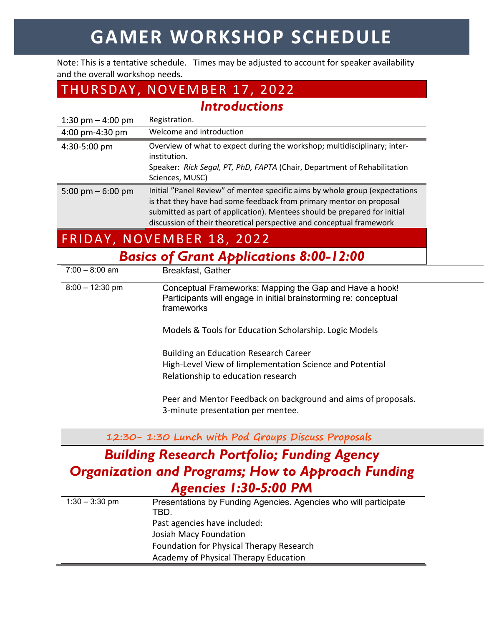# **GAMER WORKSHOP SCHEDULE**

Note: This is a tentative schedule. Times may be adjusted to account for speaker availability and the overall workshop needs.

## THURSDAY, NOVEMBER 17, 2022

*Introductions*

| 1:30 pm $-$ 4:00 pm                            | Registration.                                                                                                                                                                                                                                                                                           |  |
|------------------------------------------------|---------------------------------------------------------------------------------------------------------------------------------------------------------------------------------------------------------------------------------------------------------------------------------------------------------|--|
| 4:00 pm-4:30 pm                                | Welcome and introduction                                                                                                                                                                                                                                                                                |  |
| 4:30-5:00 pm                                   | Overview of what to expect during the workshop; multidisciplinary; inter-<br>institution.<br>Speaker: Rick Segal, PT, PhD, FAPTA (Chair, Department of Rehabilitation<br>Sciences, MUSC)                                                                                                                |  |
| 5:00 pm $-$ 6:00 pm                            | Initial "Panel Review" of mentee specific aims by whole group (expectations<br>is that they have had some feedback from primary mentor on proposal<br>submitted as part of application). Mentees should be prepared for initial<br>discussion of their theoretical perspective and conceptual framework |  |
| FRIDAY, NOVEMBER 18, 2022                      |                                                                                                                                                                                                                                                                                                         |  |
| <b>Basics of Grant Applications 8:00-12:00</b> |                                                                                                                                                                                                                                                                                                         |  |
| $7:00 - 8:00$ am                               | <b>Breakfast, Gather</b>                                                                                                                                                                                                                                                                                |  |
| $8:00 - 12:30$ pm                              | Conceptual Frameworks: Mapping the Gap and Have a hook!<br>Participants will engage in initial brainstorming re: conceptual<br>frameworks                                                                                                                                                               |  |
|                                                | Models & Tools for Education Scholarship. Logic Models                                                                                                                                                                                                                                                  |  |
|                                                | <b>Building an Education Research Career</b><br>High-Level View of limplementation Science and Potential<br>Relationship to education research                                                                                                                                                          |  |
|                                                | Peer and Mentor Feedback on background and aims of proposals.<br>3-minute presentation per mentee.                                                                                                                                                                                                      |  |

**12:30- 1:30 Lunch with Pod Groups Discuss Proposals**

### *Building Research Portfolio; Funding Agency Organization and Programs; How to Approach Funding Agencies 1:30-5:00 PM*

| $1:30 - 3:30$ pm | Presentations by Funding Agencies. Agencies who will participate |
|------------------|------------------------------------------------------------------|
|                  | TBD.                                                             |
|                  | Past agencies have included:                                     |
|                  | Josiah Macy Foundation                                           |
|                  | Foundation for Physical Therapy Research                         |
|                  | Academy of Physical Therapy Education                            |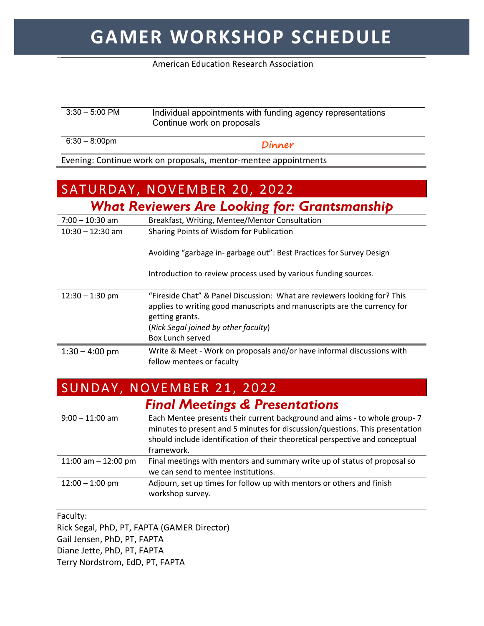## **GAMER WORKSHOP SCHEDULE**

#### American Education Research Association

#### 3:30 – 5:00 PM Individual appointments with funding agency representations Continue work on proposals

6:30 – 8:00pm **Dinner**

Evening: Continue work on proposals, mentor-mentee appointments

### SATURDAY, NOVEMBER 20, 2022 *What Reviewers Are Looking for: Grantsmanship*

| $1.44$ . The state of $1.44$ and $1.44$ and $1.44$ and $1.44$ and $1.44$ and $1.44$ and $1.44$ and $1.44$ and $1.44$ and $1.44$ and $1.44$ and $1.44$ and $1.44$ and $1.44$ and $1.44$ and $1.44$ and $1.44$ and $1.44$ and |                                                                                                                                                                                                                                     |  |
|-----------------------------------------------------------------------------------------------------------------------------------------------------------------------------------------------------------------------------|-------------------------------------------------------------------------------------------------------------------------------------------------------------------------------------------------------------------------------------|--|
| $7:00 - 10:30$ am                                                                                                                                                                                                           | Breakfast, Writing, Mentee/Mentor Consultation                                                                                                                                                                                      |  |
| $10:30 - 12:30$ am                                                                                                                                                                                                          | Sharing Points of Wisdom for Publication                                                                                                                                                                                            |  |
|                                                                                                                                                                                                                             | Avoiding "garbage in-garbage out": Best Practices for Survey Design                                                                                                                                                                 |  |
|                                                                                                                                                                                                                             | Introduction to review process used by various funding sources.                                                                                                                                                                     |  |
| $12:30 - 1:30$ pm                                                                                                                                                                                                           | "Fireside Chat" & Panel Discussion: What are reviewers looking for? This<br>applies to writing good manuscripts and manuscripts are the currency for<br>getting grants.<br>(Rick Segal joined by other faculty)<br>Box Lunch served |  |
| $1:30 - 4:00$ pm                                                                                                                                                                                                            | Write & Meet - Work on proposals and/or have informal discussions with<br>fellow mentees or faculty                                                                                                                                 |  |

### SUNDAY, NOVEMBER 21, 2022

|                       | <b>Final Meetings &amp; Presentations</b>                                                                                                                                                                                                                 |
|-----------------------|-----------------------------------------------------------------------------------------------------------------------------------------------------------------------------------------------------------------------------------------------------------|
| $9:00 - 11:00$ am     | Each Mentee presents their current background and aims - to whole group- 7<br>minutes to present and 5 minutes for discussion/questions. This presentation<br>should include identification of their theoretical perspective and conceptual<br>framework. |
| 11:00 am $-$ 12:00 pm | Final meetings with mentors and summary write up of status of proposal so<br>we can send to mentee institutions.                                                                                                                                          |
| $12:00 - 1:00$ pm     | Adjourn, set up times for follow up with mentors or others and finish<br>workshop survey.                                                                                                                                                                 |

Faculty:

Rick Segal, PhD, PT, FAPTA (GAMER Director) Gail Jensen, PhD, PT, FAPTA Diane Jette, PhD, PT, FAPTA Terry Nordstrom, EdD, PT, FAPTA